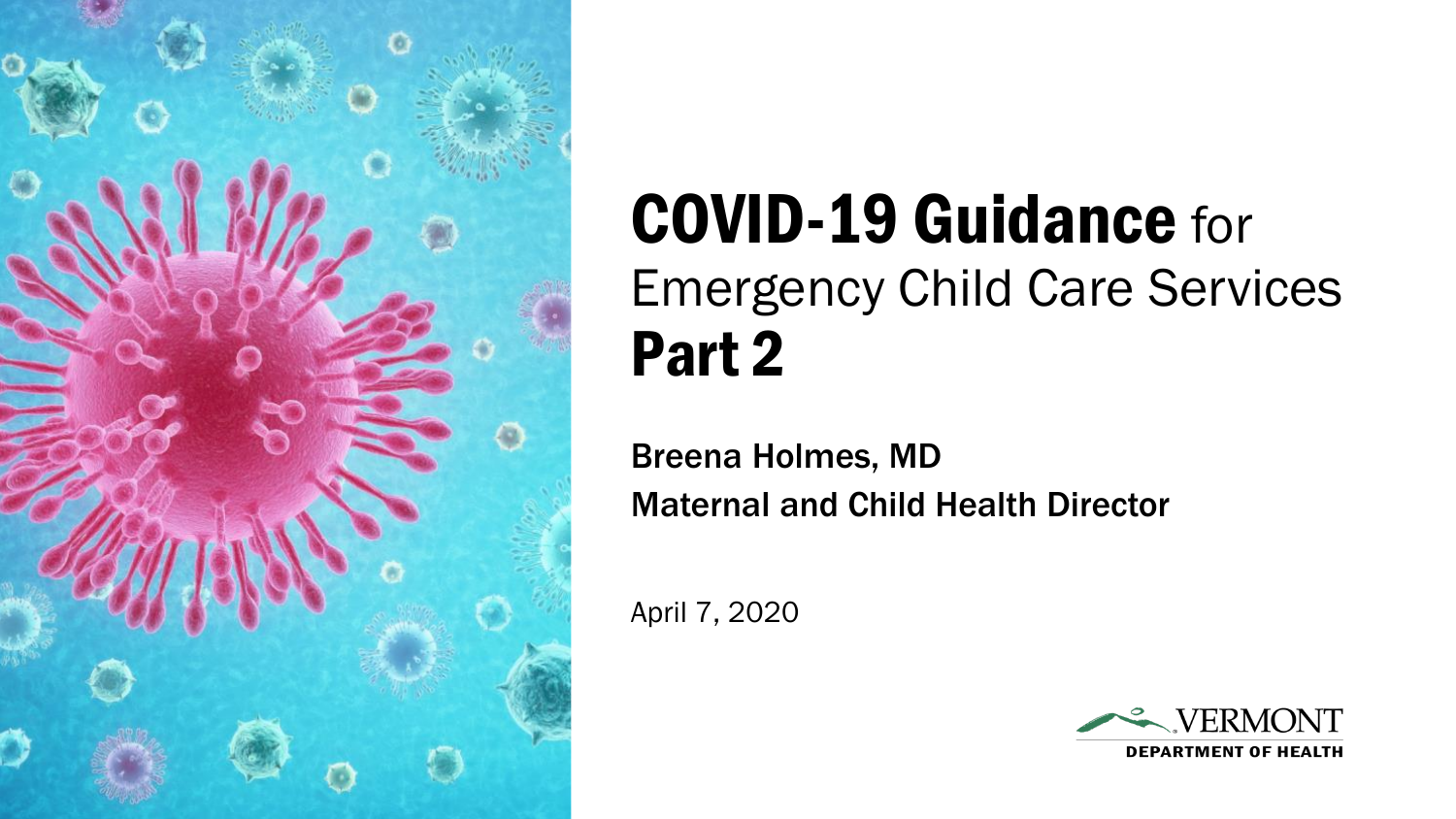

# COVID-19 Guidance for Emergency Child Care Services Part 2

Breena Holmes, MD Maternal and Child Health Director

April 7, 2020

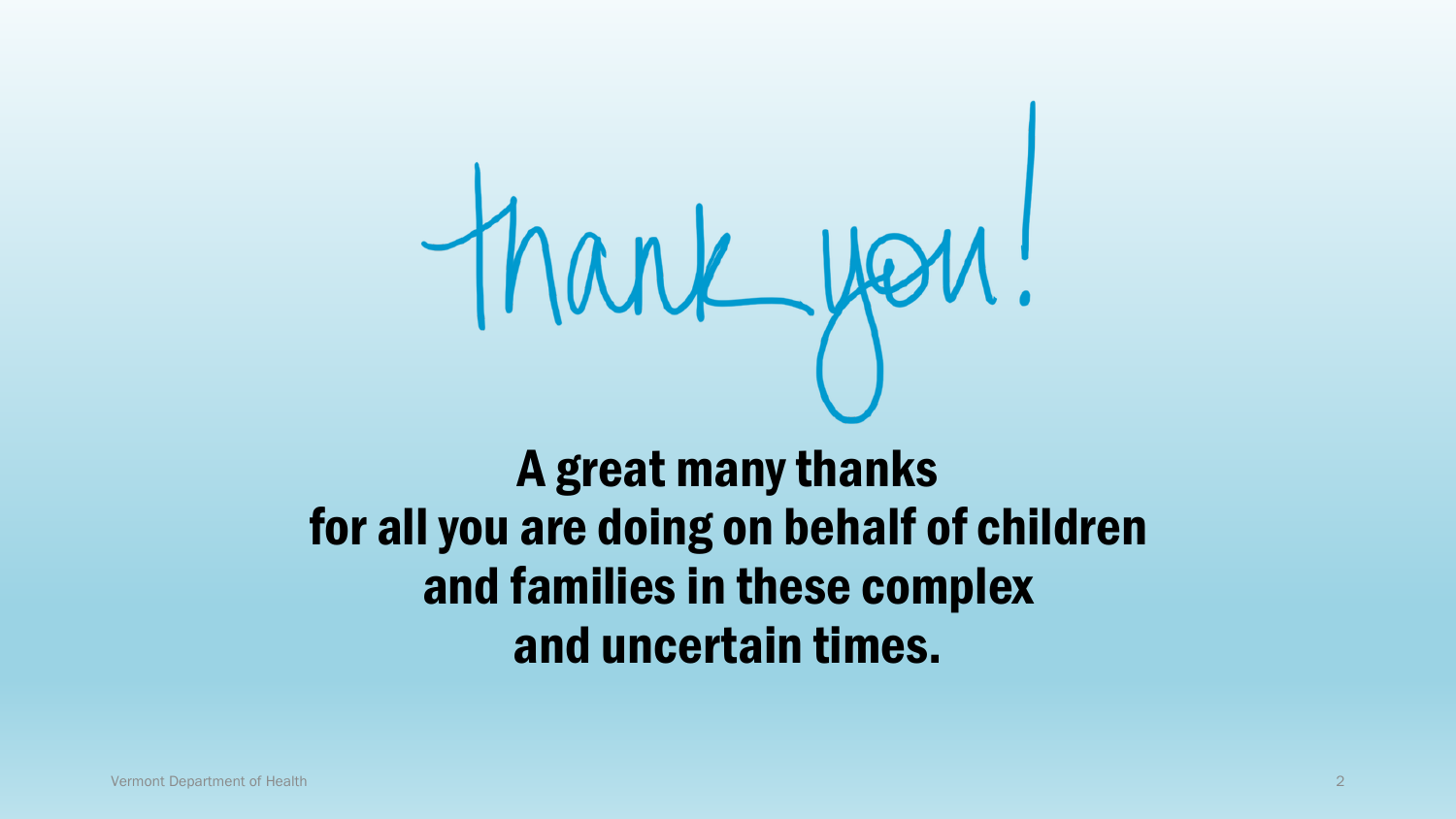

## A great many thanks for all you are doing on behalf of children and families in these complex and uncertain times.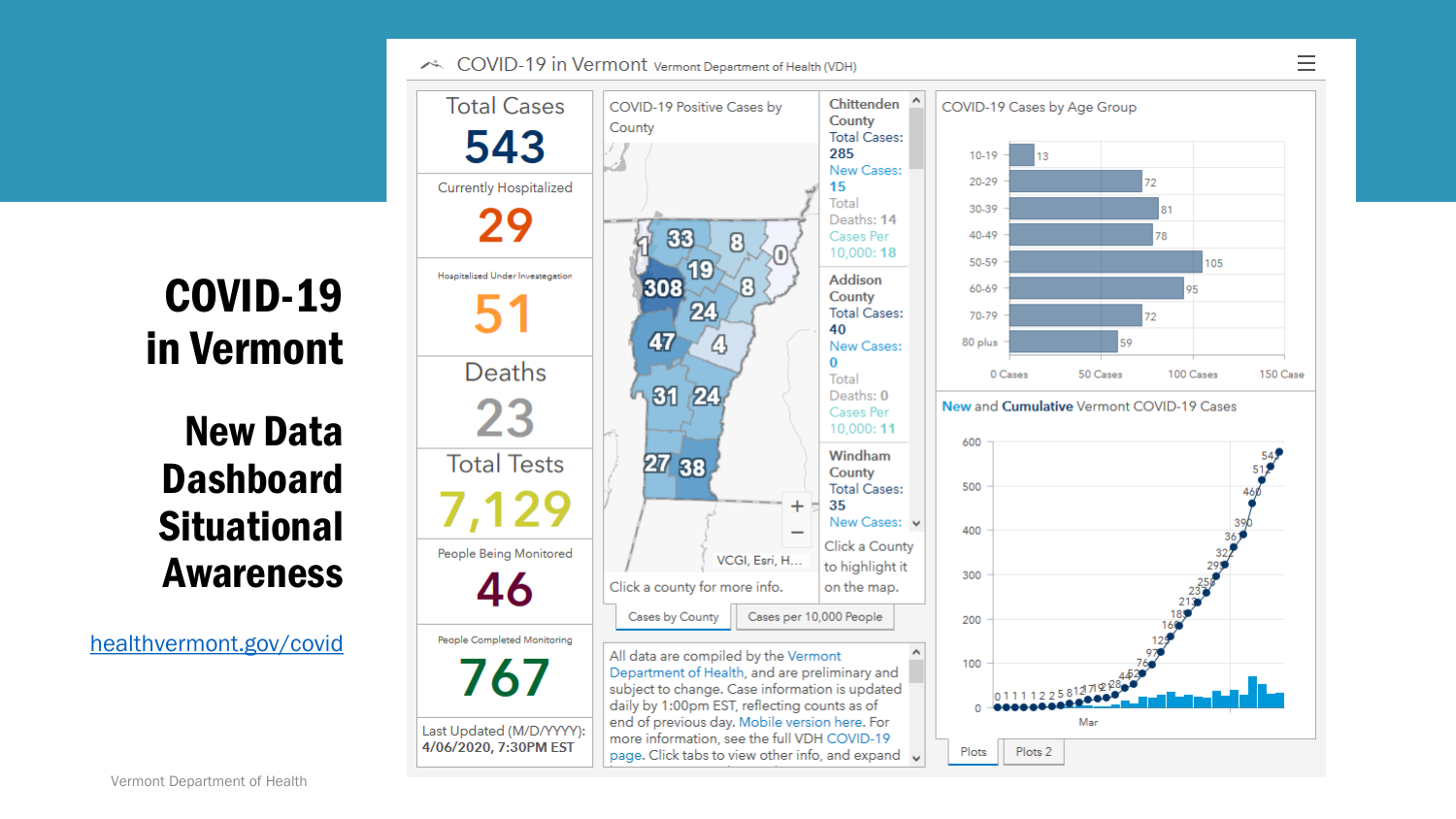## COVID -19 in Vermont

New Data Dashboard **Situational** Awareness

[healthvermont.gov/covid](https://www.healthvermont.gov/response/coronavirus-covid-19)



COVID-19 in Vermont Vermont Department of Health (VDH)

Vermont Department of Health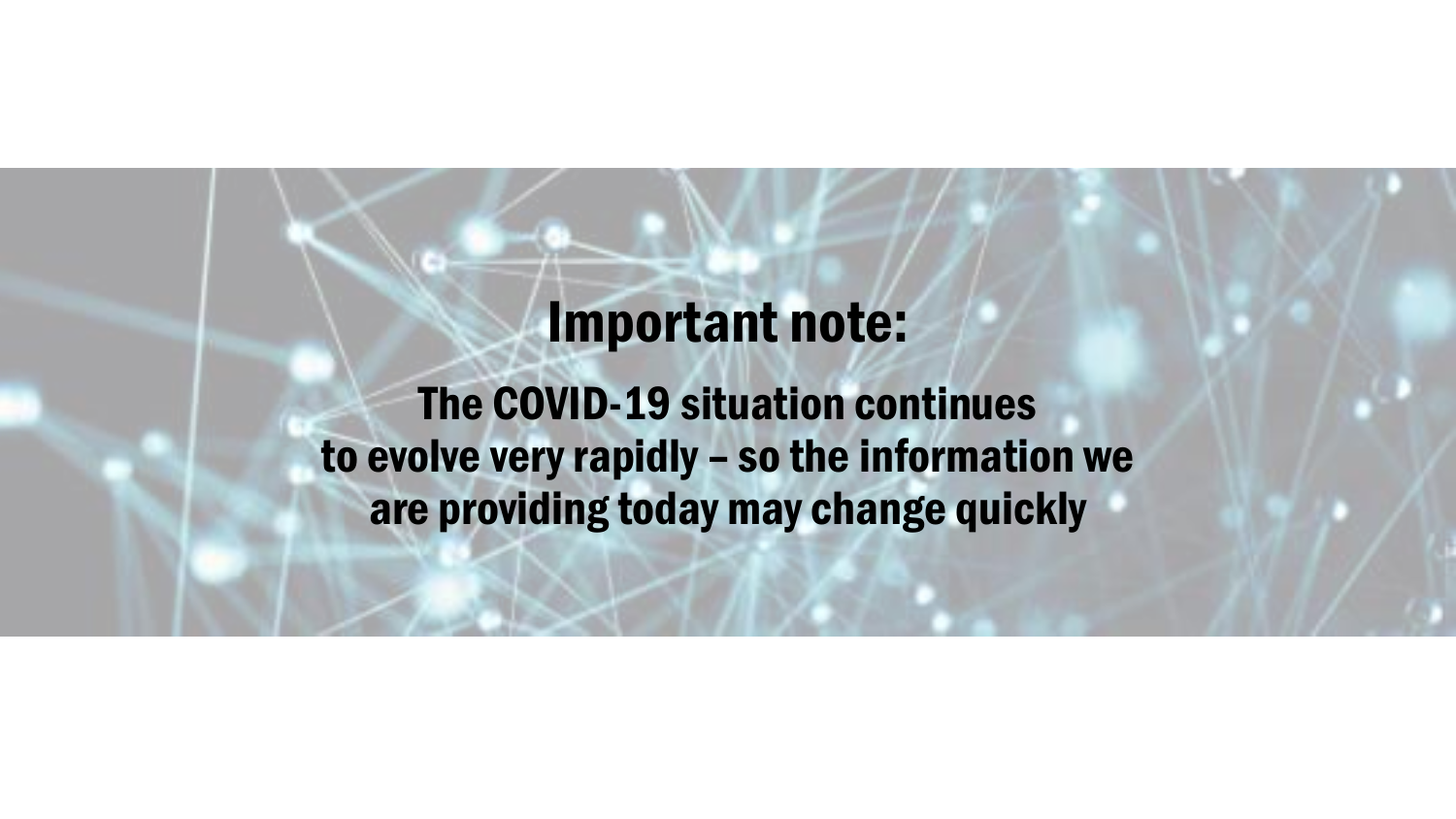## Important note:

The COVID-19 situation continues to evolve very rapidly – so the information we are providing today may change quickly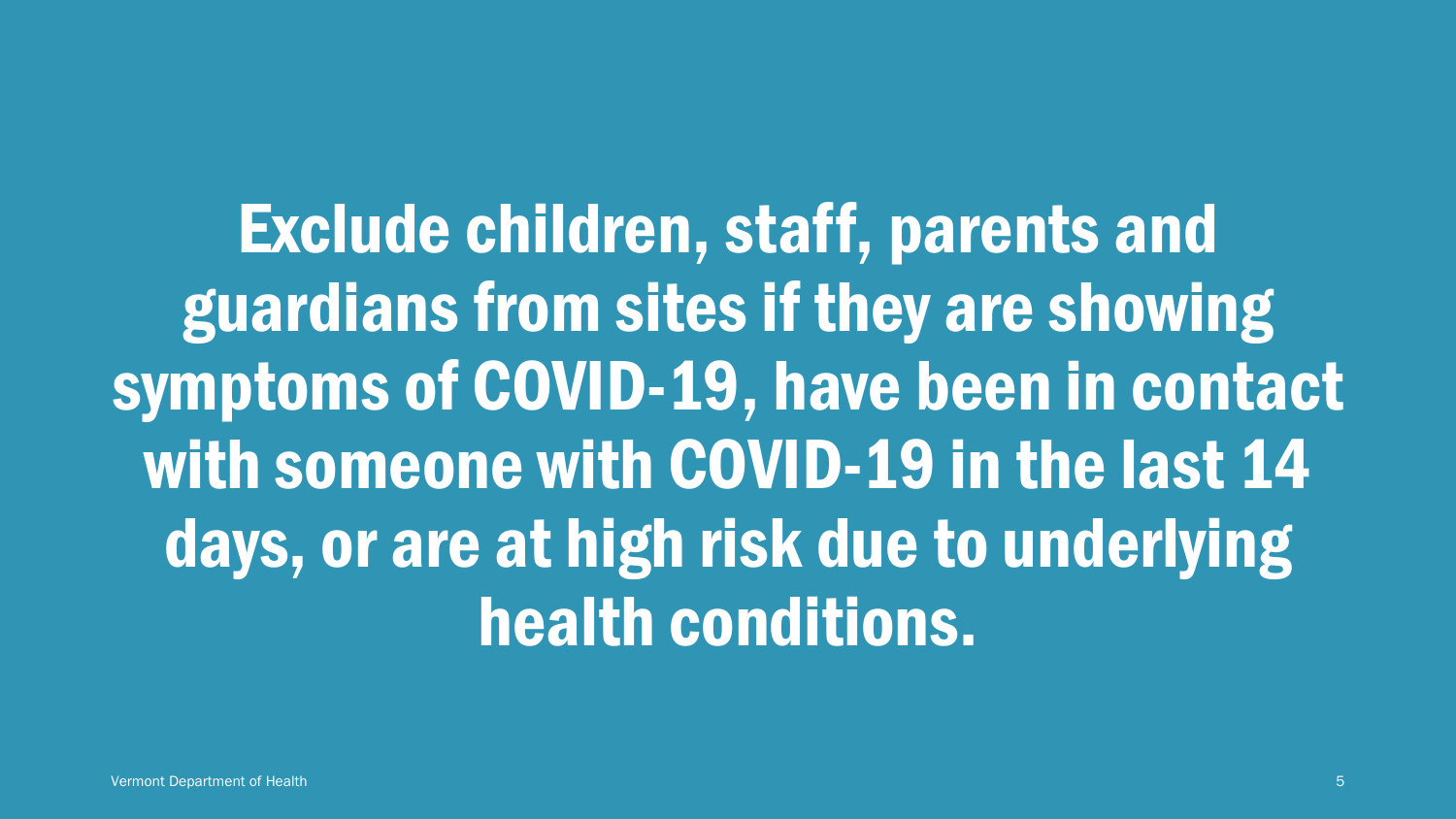Exclude children, staff, parents and guardians from sites if they are showing symptoms of COVID-19, have been in contact with someone with COVID-19 in the last 14 days, or are at high risk due to underlying health conditions.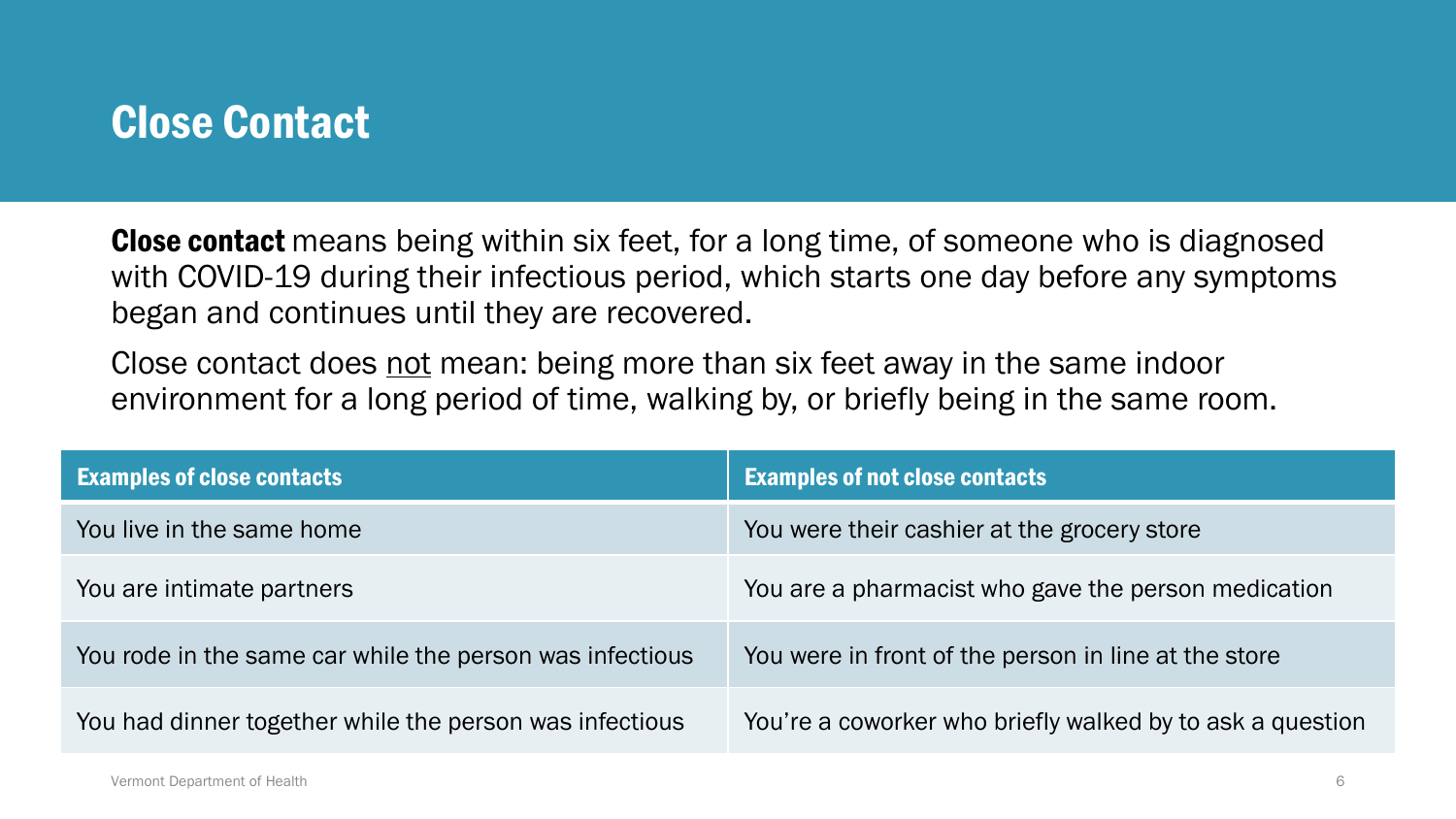## Close Contact

**Close contact** means being within six feet, for a long time, of someone who is diagnosed with COVID-19 during their infectious period, which starts one day before any symptoms began and continues until they are recovered.

Close contact does not mean: being more than six feet away in the same indoor environment for a long period of time, walking by, or briefly being in the same room.

| <b>Examples of close contacts</b>                        | <b>Examples of not close contacts</b>                     |
|----------------------------------------------------------|-----------------------------------------------------------|
| You live in the same home                                | You were their cashier at the grocery store               |
| You are intimate partners                                | You are a pharmacist who gave the person medication       |
| You rode in the same car while the person was infectious | You were in front of the person in line at the store      |
| You had dinner together while the person was infectious  | You're a coworker who briefly walked by to ask a question |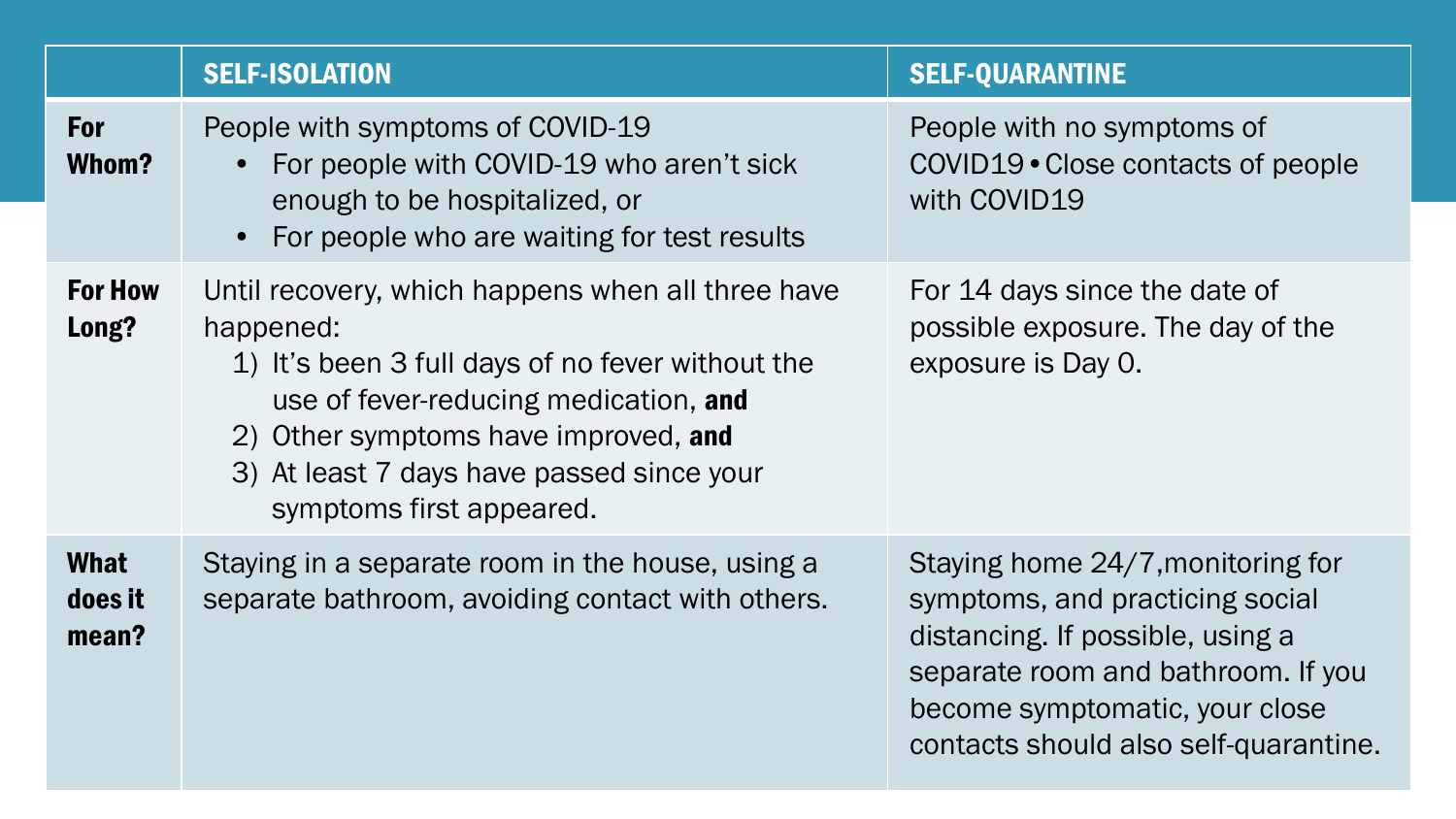|                          | <b>SELF-ISOLATION</b>                                                                                                                                                                                                                                                        | <b>SELF-QUARANTINE</b>                                                                                                                                                                                                    |
|--------------------------|------------------------------------------------------------------------------------------------------------------------------------------------------------------------------------------------------------------------------------------------------------------------------|---------------------------------------------------------------------------------------------------------------------------------------------------------------------------------------------------------------------------|
| For<br>Whom?             | People with symptoms of COVID-19<br>For people with COVID-19 who aren't sick<br>enough to be hospitalized, or<br>For people who are waiting for test results                                                                                                                 | People with no symptoms of<br>COVID19 • Close contacts of people<br>with COVID19                                                                                                                                          |
| <b>For How</b><br>Long?  | Until recovery, which happens when all three have<br>happened:<br>1) It's been 3 full days of no fever without the<br>use of fever-reducing medication, and<br>2) Other symptoms have improved, and<br>3) At least 7 days have passed since your<br>symptoms first appeared. | For 14 days since the date of<br>possible exposure. The day of the<br>exposure is Day 0.                                                                                                                                  |
| What<br>does it<br>mean? | Staying in a separate room in the house, using a<br>separate bathroom, avoiding contact with others.                                                                                                                                                                         | Staying home 24/7, monitoring for<br>symptoms, and practicing social<br>distancing. If possible, using a<br>separate room and bathroom. If you<br>become symptomatic, your close<br>contacts should also self-quarantine. |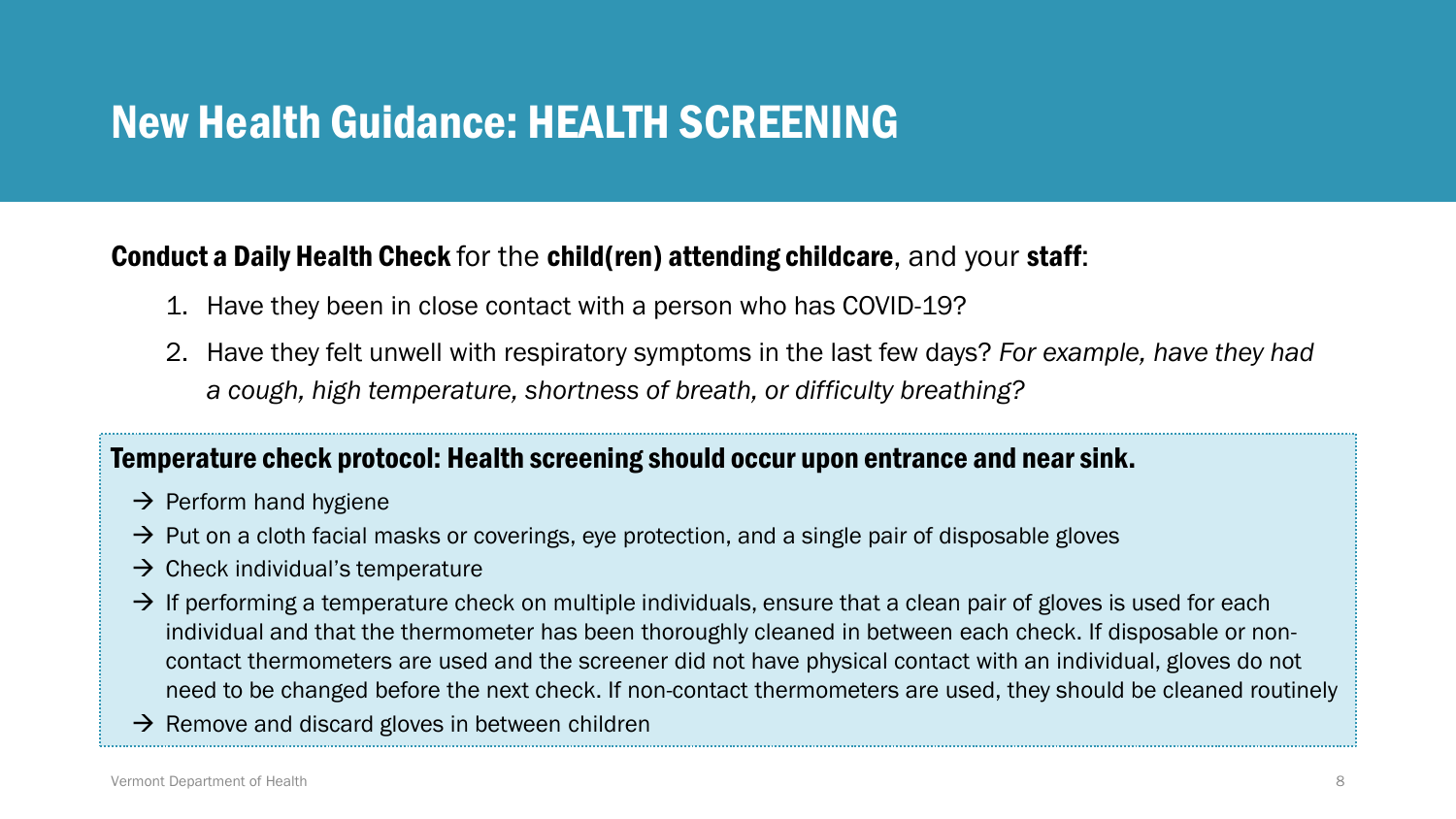## New Health Guidance: HEALTH SCREENING

#### Conduct a Daily Health Check for the child(ren) attending childcare, and your staff:

- 1. Have they been in close contact with a person who has COVID-19?
- 2. Have they felt unwell with respiratory symptoms in the last few days? *For example, have they had a cough, high temperature, shortness of breath, or difficulty breathing?*

#### Temperature check protocol: Health screening should occur upon entrance and near sink.

- $\rightarrow$  Perform hand hygiene
- $\rightarrow$  Put on a cloth facial masks or coverings, eye protection, and a single pair of disposable gloves
- $\rightarrow$  Check individual's temperature
- $\rightarrow$  If performing a temperature check on multiple individuals, ensure that a clean pair of gloves is used for each individual and that the thermometer has been thoroughly cleaned in between each check. If disposable or noncontact thermometers are used and the screener did not have physical contact with an individual, gloves do not need to be changed before the next check. If non-contact thermometers are used, they should be cleaned routinely
- $\rightarrow$  Remove and discard gloves in between children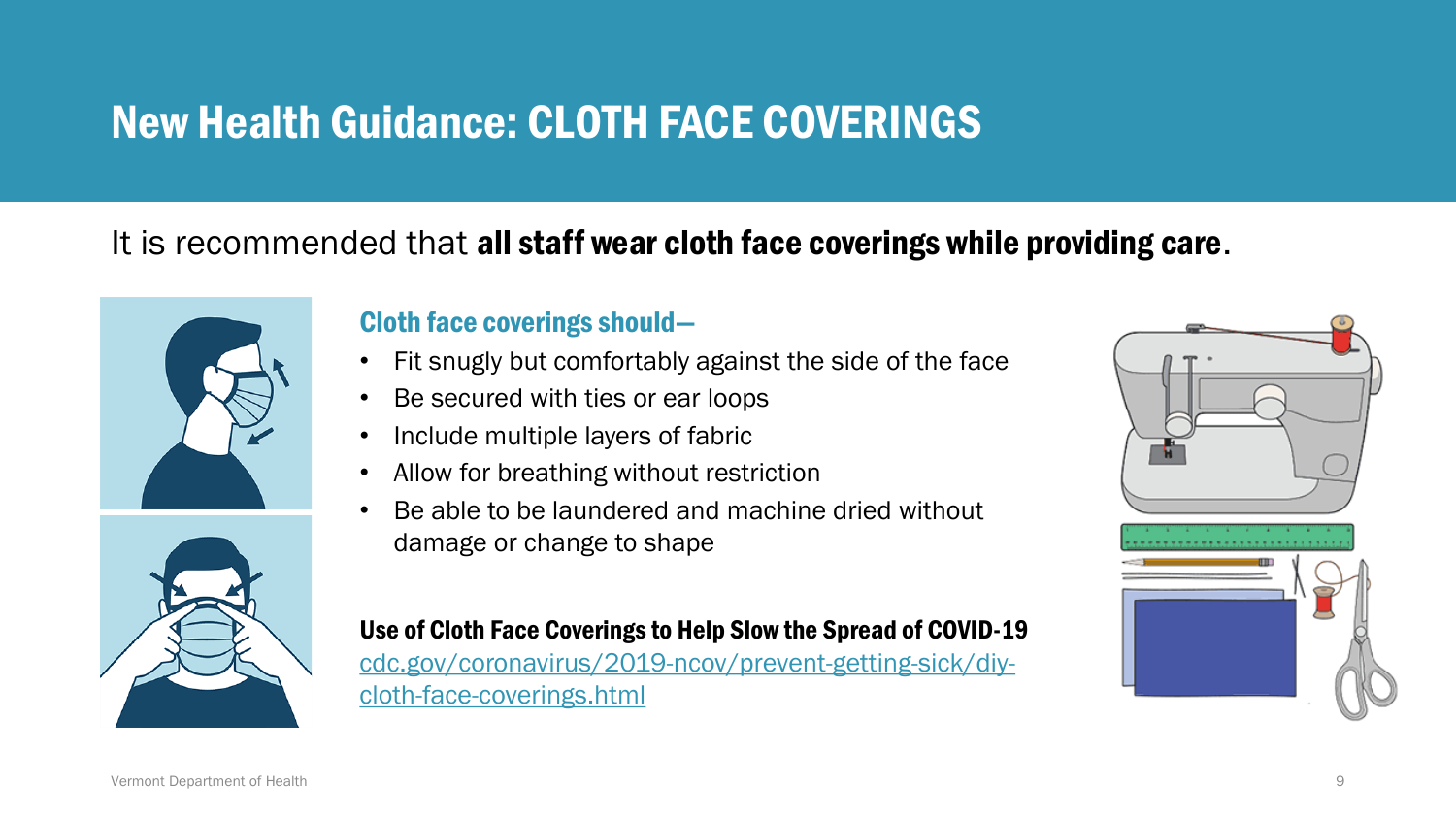## New Health Guidance: CLOTH FACE COVERINGS

#### It is recommended that all staff wear cloth face coverings while providing care.



#### Cloth face coverings should—

- Fit snugly but comfortably against the side of the face
- Be secured with ties or ear loops
- Include multiple layers of fabric
- Allow for breathing without restriction
- Be able to be laundered and machine dried without damage or change to shape

Use of Cloth Face Coverings to Help Slow the Spread of COVID-19 [cdc.gov/coronavirus/2019-ncov/prevent-getting-sick/diy](https://www.cdc.gov/coronavirus/2019-ncov/prevent-getting-sick/diy-cloth-face-coverings.html)cloth-face-coverings.html

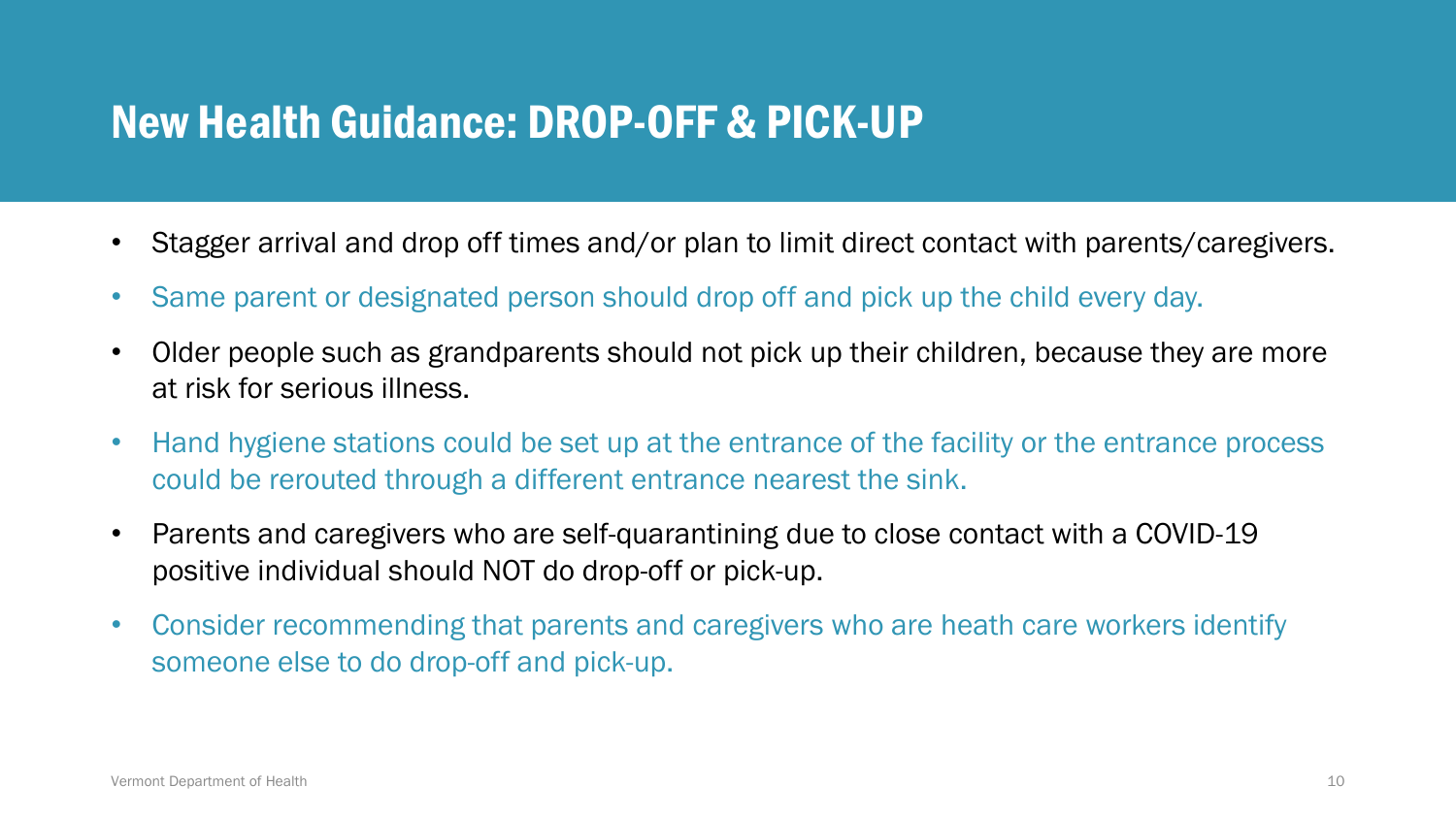## New Health Guidance: DROP-OFF & PICK-UP

- Stagger arrival and drop off times and/or plan to limit direct contact with parents/caregivers.
- Same parent or designated person should drop off and pick up the child every day.
- Older people such as grandparents should not pick up their children, because they are more at risk for serious illness.
- Hand hygiene stations could be set up at the entrance of the facility or the entrance process could be rerouted through a different entrance nearest the sink.
- Parents and caregivers who are self-quarantining due to close contact with a COVID-19 positive individual should NOT do drop-off or pick-up.
- Consider recommending that parents and caregivers who are heath care workers identify someone else to do drop-off and pick-up.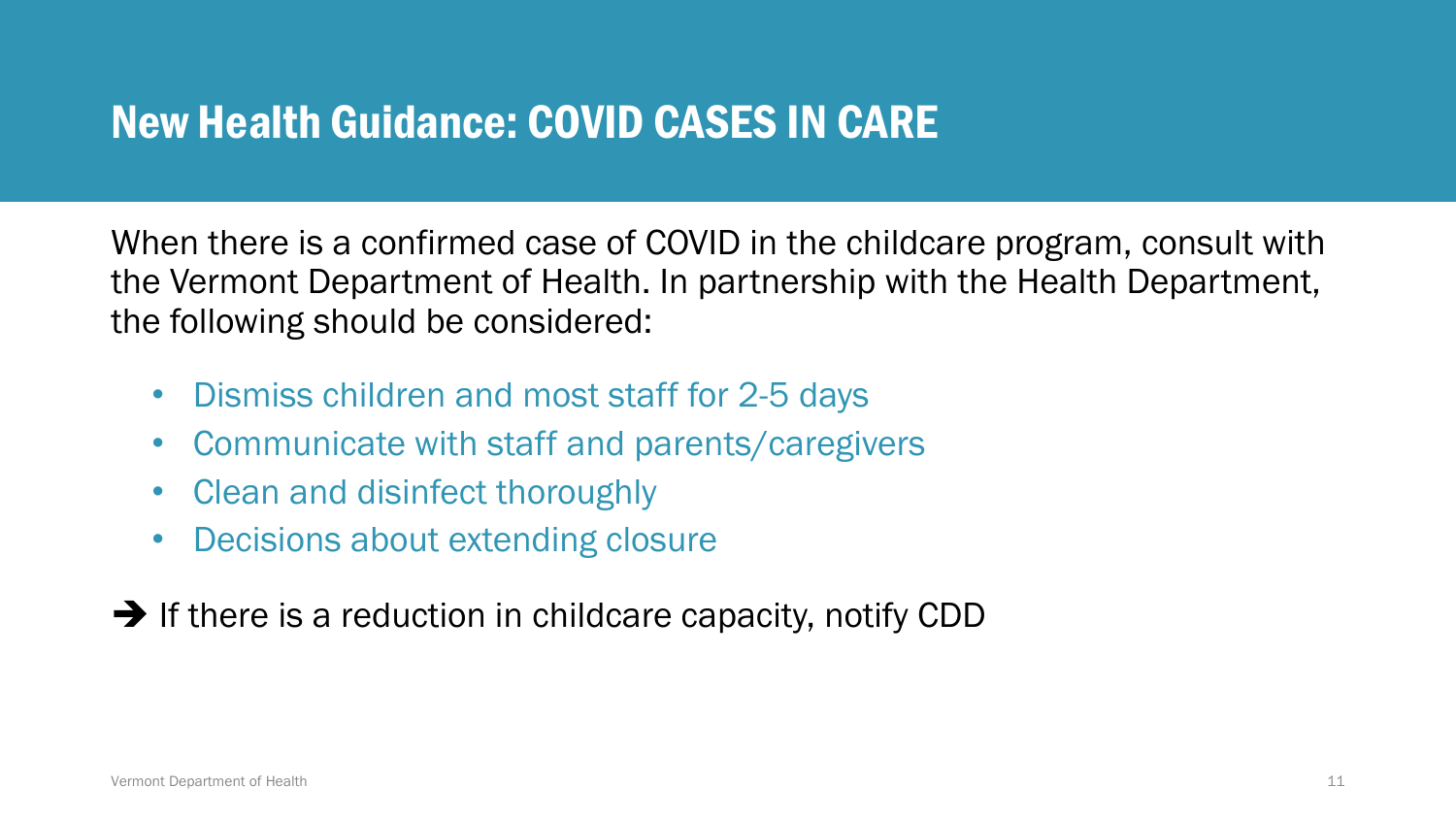## New Health Guidance: COVID CASES IN CARE

When there is a confirmed case of COVID in the childcare program, consult with the Vermont Department of Health. In partnership with the Health Department, the following should be considered:

- Dismiss children and most staff for 2-5 days
- Communicate with staff and parents/caregivers
- Clean and disinfect thoroughly
- Decisions about extending closure
- ➔ If there is a reduction in childcare capacity, notify CDD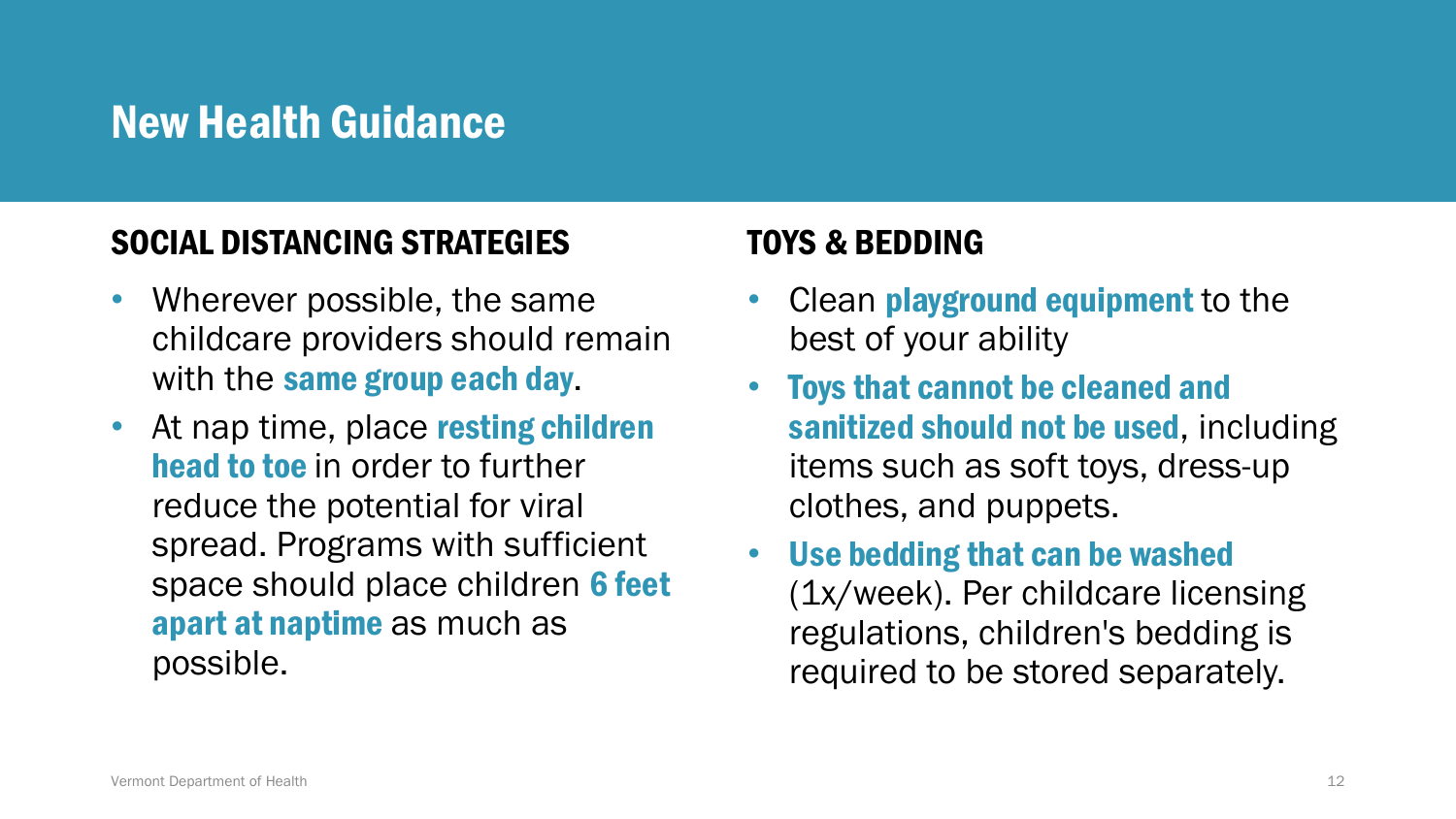## New Health Guidance

#### SOCIAL DISTANCING STRATEGIES

- Wherever possible, the same childcare providers should remain with the same group each day.
- At nap time, place resting children head to toe in order to further reduce the potential for viral spread. Programs with sufficient space should place children 6 feet apart at naptime as much as possible.

#### TOYS & BEDDING

- Clean **playground equipment** to the best of your ability
- Toys that cannot be cleaned and sanitized should not be used, including items such as soft toys, dress-up clothes, and puppets.
- Use bedding that can be washed (1x/week). Per childcare licensing regulations, children's bedding is required to be stored separately.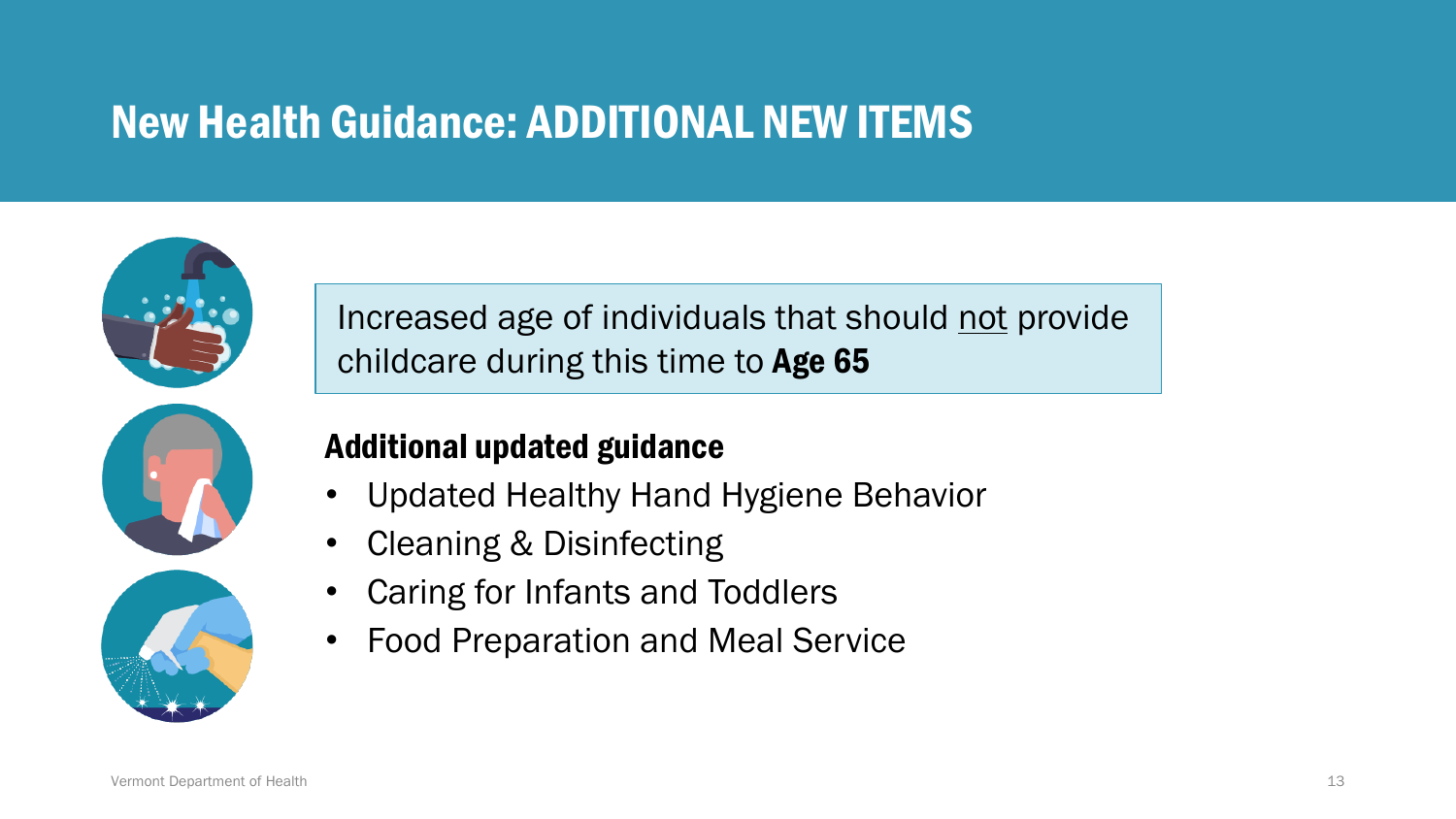## New Health Guidance: ADDITIONAL NEW ITEMS



Increased age of individuals that should not provide childcare during this time to Age 65

#### Additional updated guidance

- Updated Healthy Hand Hygiene Behavior
- Cleaning & Disinfecting
- Caring for Infants and Toddlers
- Food Preparation and Meal Service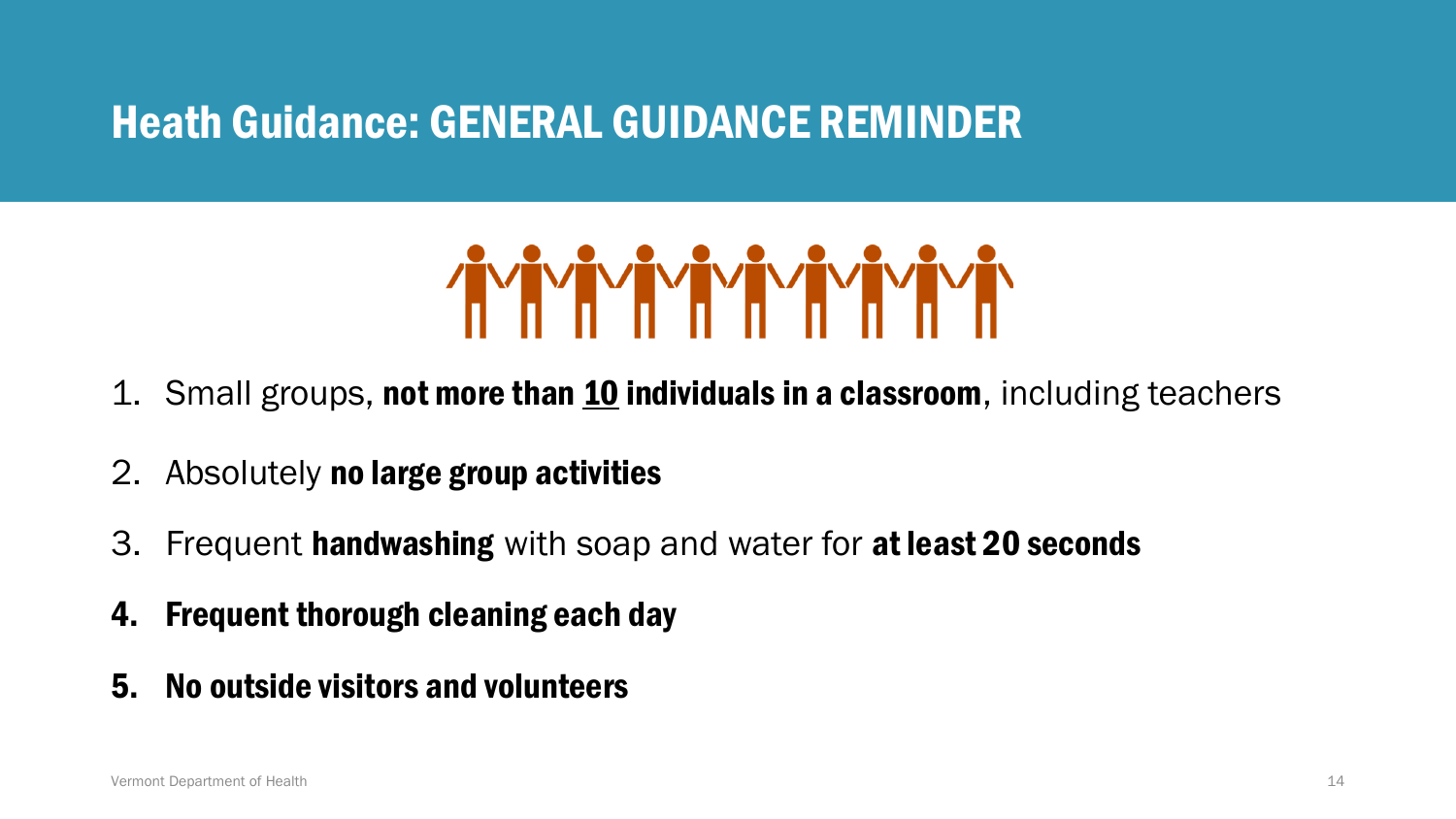## Heath Guidance: GENERAL GUIDANCE REMINDER



- 1. Small groups, not more than 10 individuals in a classroom, including teachers
- 2. Absolutely no large group activities
- 3. Frequent handwashing with soap and water for at least 20 seconds
- 4. Frequent thorough cleaning each day
- 5. No outside visitors and volunteers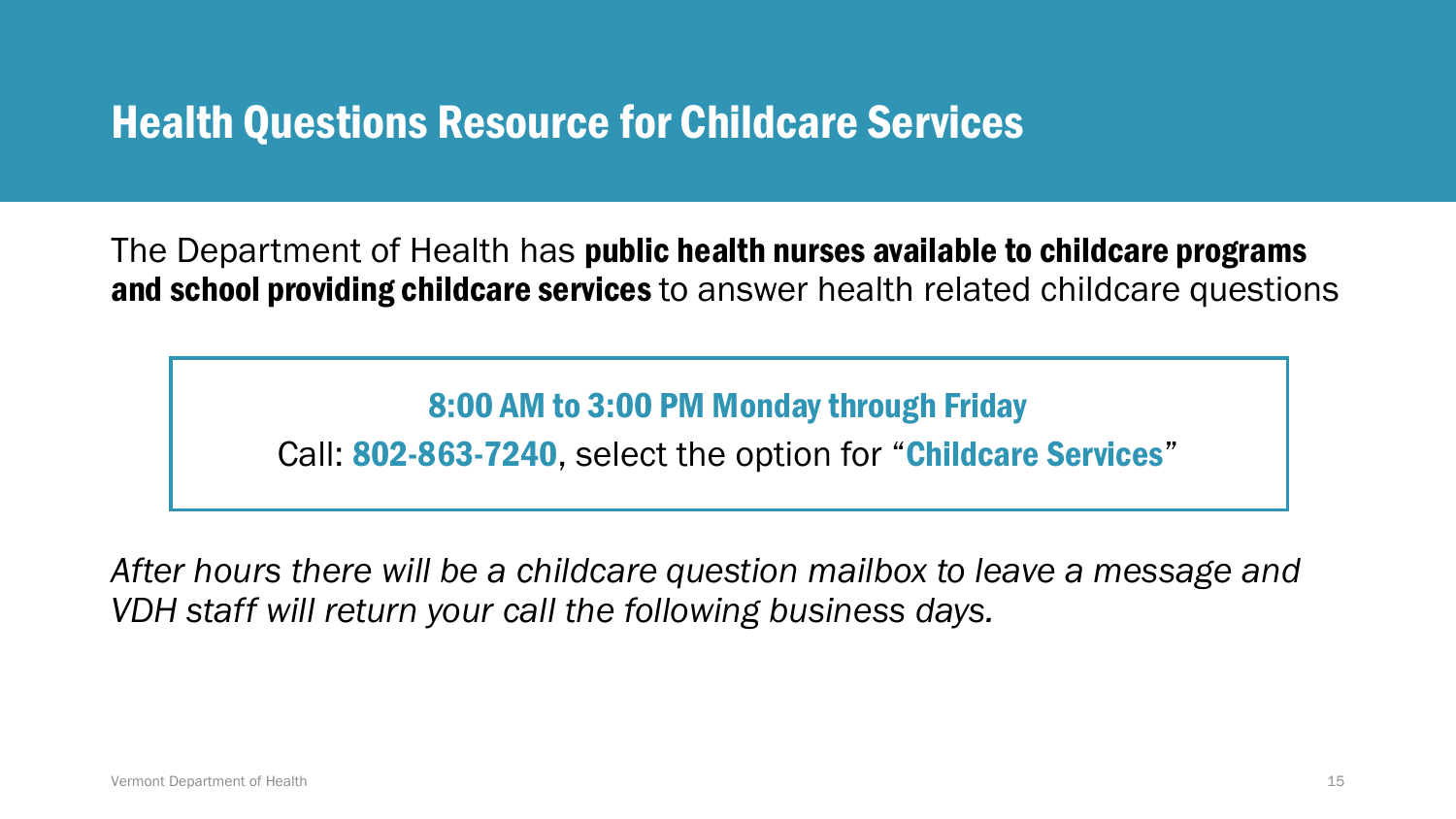## Health Questions Resource for Childcare Services

The Department of Health has **public health nurses available to childcare programs** and school providing childcare services to answer health related childcare questions

> 8:00 AM to 3:00 PM Monday through Friday Call: 802-863-7240, select the option for "Childcare Services"

*After hours there will be a childcare question mailbox to leave a message and VDH staff will return your call the following business days.*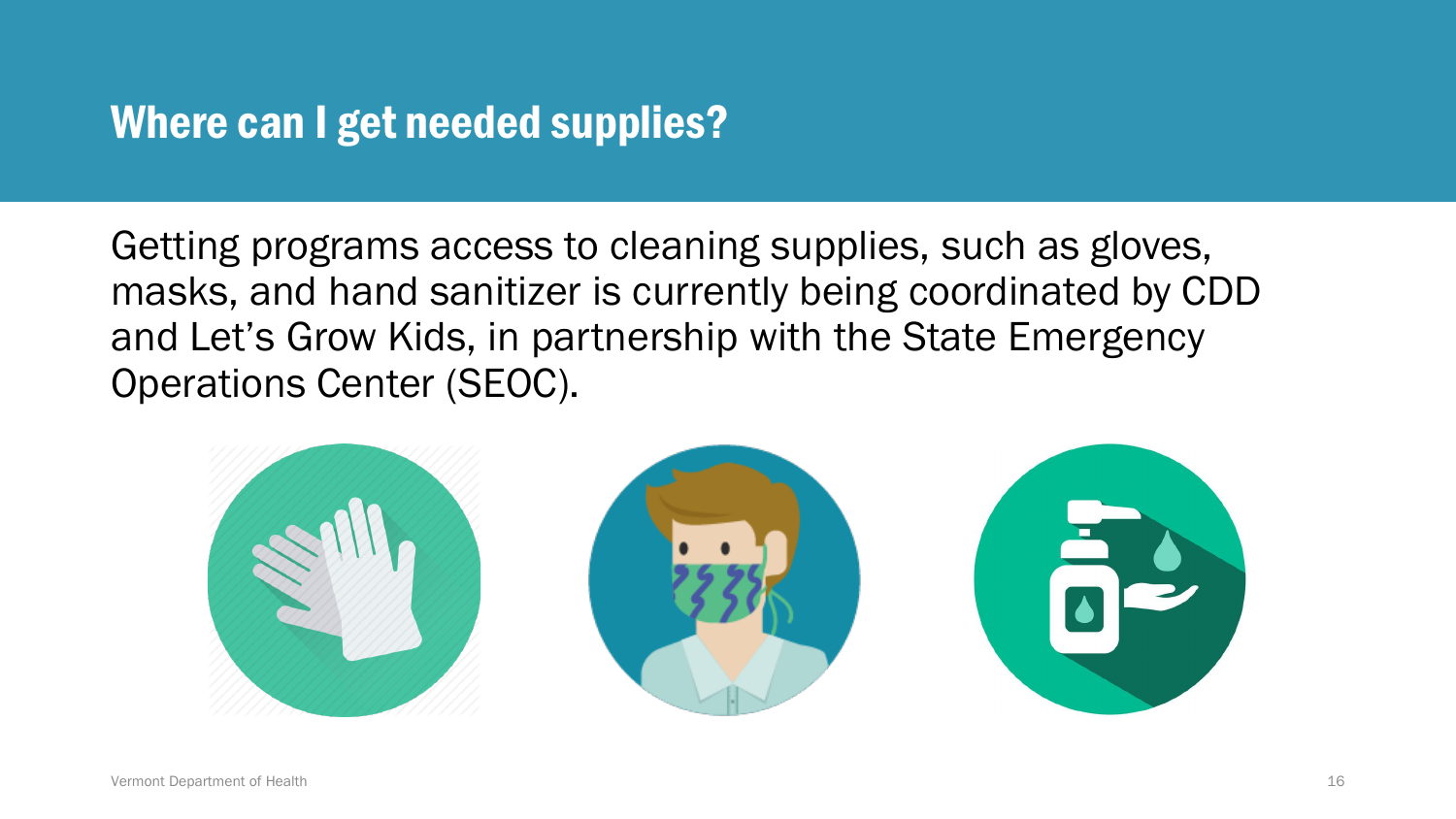## Where can I get needed supplies?

Getting programs access to cleaning supplies, such as gloves, masks, and hand sanitizer is currently being coordinated by CDD and Let's Grow Kids, in partnership with the State Emergency Operations Center (SEOC).

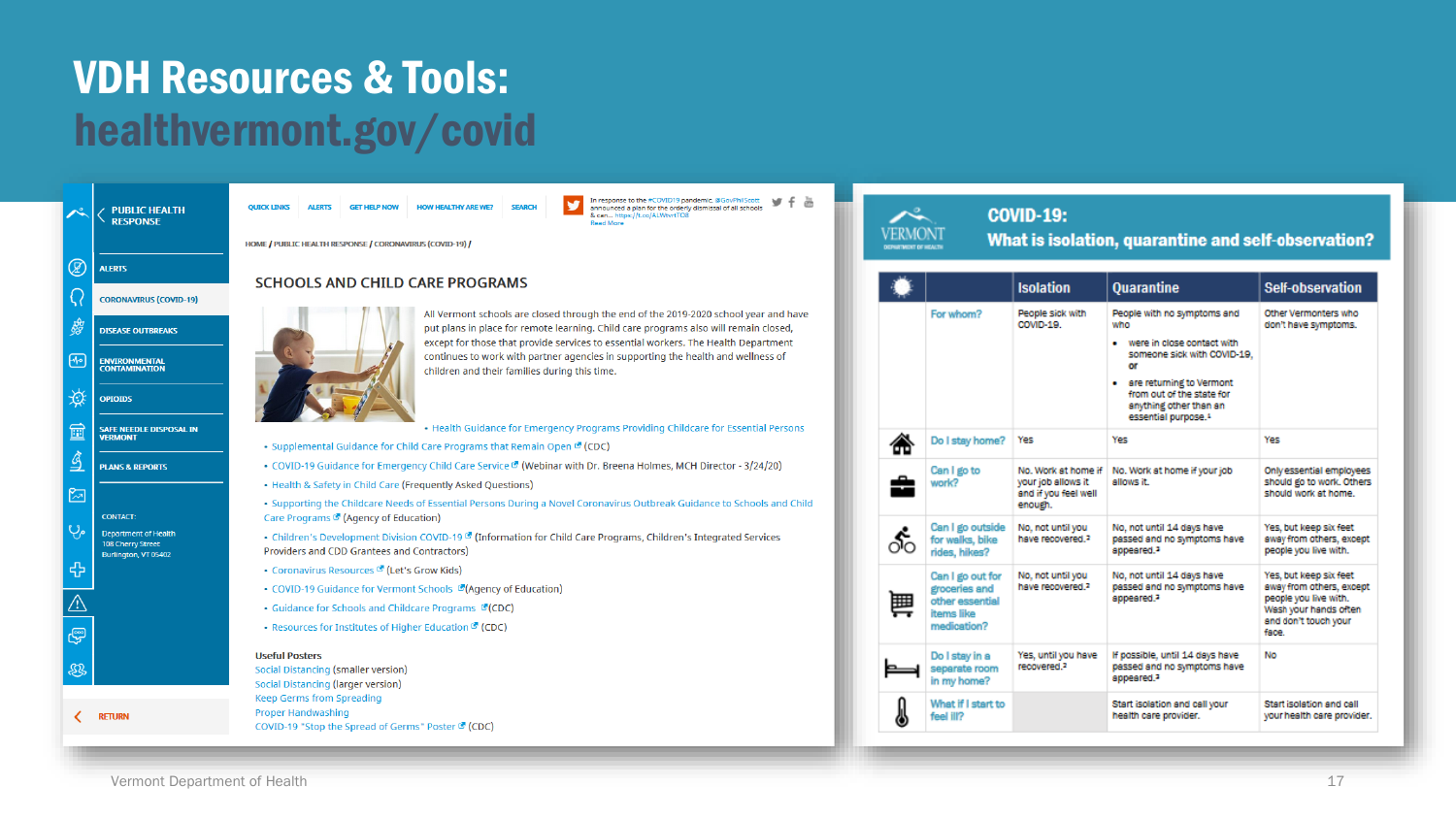## VDH Resources & Tools: healthvermont.gov/covid



In response to the #COVID19 pandemic, @GovPhilScott Windows announced a plan for the orderly dismissal of all schools & can... https://t.co/ALWtvrtTO8 **Read More** 

HOME / PUBLIC HEALTH RESPONSE / CORONAVIRUS (COVID-19) /

#### **SCHOOLS AND CHILD CARE PROGRAMS**

All Vermont schools are closed through the end of the 2019-2020 school year and have put plans in place for remote learning. Child care programs also will remain closed, except for those that provide services to essential workers. The Health Department continues to work with partner agencies in supporting the health and wellness of children and their families during this time.

. Health Guidance for Emergency Programs Providing Childcare for Essential Persons

• Supplemental Guidance for Child Care Programs that Remain Open & (CDC)

HOW HEALTHY ARE WE?

- COVID-19 Guidance for Emergency Child Care Service C (Webinar with Dr. Breena Holmes, MCH Director - 3/24/20)

**SEARCH** 

- Health & Safety in Child Care (Frequently Asked Questions)
- Supporting the Childcare Needs of Essential Persons During a Novel Coronavirus Outbreak Guidance to Schools and Child Care Programs & (Agency of Education)
- Children's Development Division COVID-19 & (Information for Child Care Programs, Children's Integrated Services Providers and CDD Grantees and Contractors)
- Coronavirus Resources & (Let's Grow Kids)
- COVID-19 Guidance for Vermont Schools C (Agency of Education)
- Guidance for Schools and Childcare Programs C (CDC)
- Resources for Institutes of Higher Education C (CDC)

Social Distancing (smaller version) Social Distancing (larger version) **Keep Germs from Spreading** COVID-19 "Stop the Spread of Germs" Poster & (CDC)



|     | For whom?                                                                         | People sick with                                                             | People with no symptoms and                                                                                          | Other Vermonters who                                                                                                                  |
|-----|-----------------------------------------------------------------------------------|------------------------------------------------------------------------------|----------------------------------------------------------------------------------------------------------------------|---------------------------------------------------------------------------------------------------------------------------------------|
|     |                                                                                   | COMD-19                                                                      | who                                                                                                                  | don't have symptoms.                                                                                                                  |
|     |                                                                                   |                                                                              | . were in close contact with<br>someone sick with COVID-19,<br>or                                                    |                                                                                                                                       |
|     |                                                                                   |                                                                              | • are returning to Vermont<br>from out of the state for<br>anything other than an<br>essential purpose. <sup>1</sup> |                                                                                                                                       |
|     | Do I stay home?                                                                   | Yes                                                                          | Yes                                                                                                                  | Yes                                                                                                                                   |
| Ξ   | Can I go to<br>work?                                                              | No. Work at home if<br>vour job allows it<br>and if you feel well<br>enoueh. | No. Work at home if your job<br>allows it.                                                                           | Only essential employees<br>should go to work. Others<br>should work at home.                                                         |
| \$, | Can I go outside<br>for walks, bike<br>rides, hikes?                              | No, not until you<br>have recovered. <sup>2</sup>                            | No, not until 14 days have<br>passed and no symptoms have<br>appeared. <sup>2</sup>                                  | Yes, but keep six feet<br>away from others, except<br>people you live with.                                                           |
| 扁   | Can I go out for<br>groceries and<br>other essential<br>items like<br>medication? | No. not until you<br>have recovered. <sup>2</sup>                            | No, not until 14 days have<br>passed and no symptoms have<br>appeared. <sup>2</sup>                                  | Yes, but keep six feet<br>away from others, except<br>people you live with.<br>Wash your hands often<br>and don't touch your<br>face. |
|     | Do I stay in a<br>separate room<br>in my home?                                    | Yes, until you have<br>recovered. <sup>2</sup>                               | If possible, until 14 days have<br>passed and no symptoms have<br>appeared. <sup>2</sup>                             | No                                                                                                                                    |
|     | What if I start to<br>feel ill?                                                   |                                                                              | Start isolation and call your<br>health care provider.                                                               | Start isolation and call<br>your health care provider.                                                                                |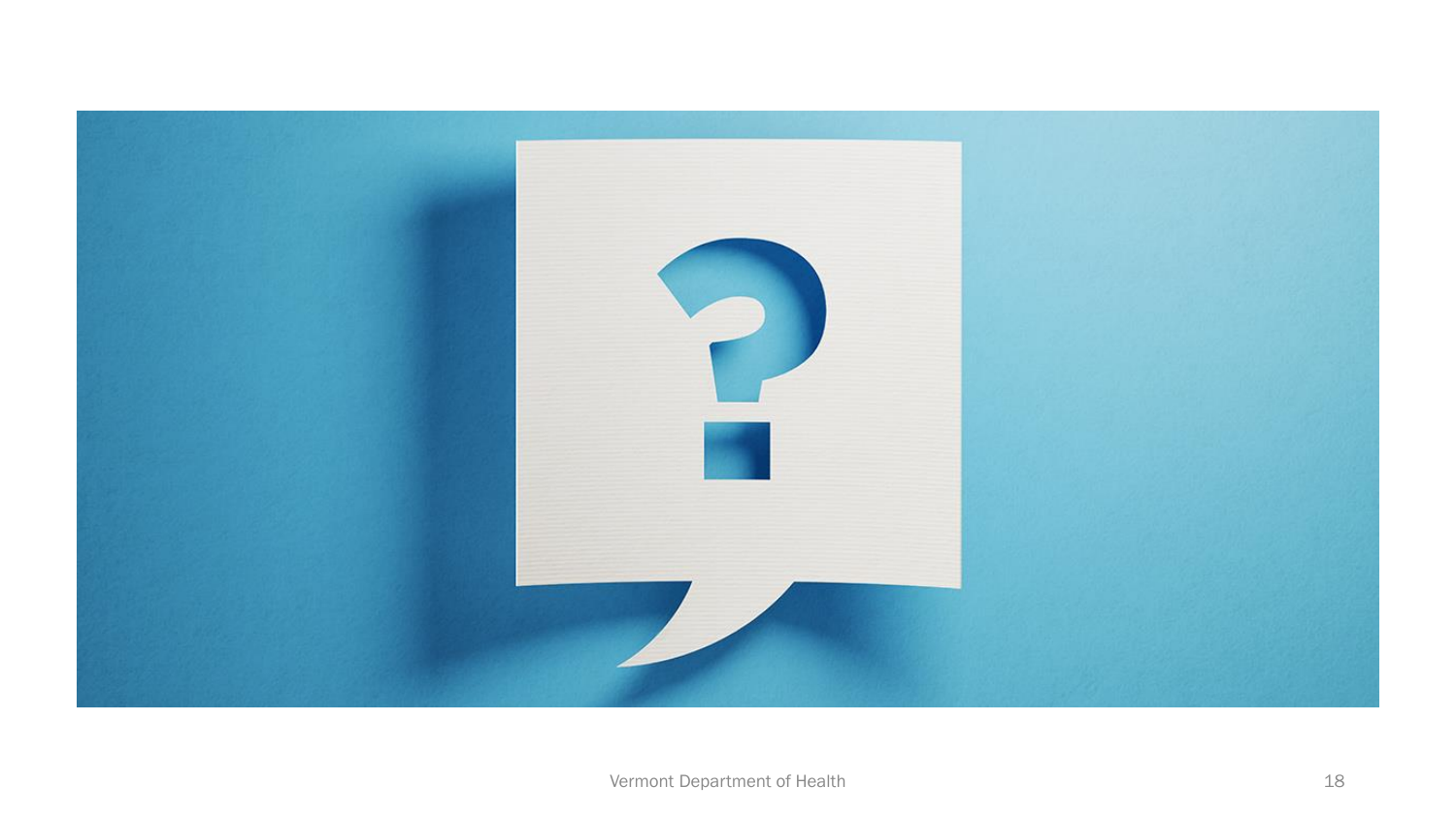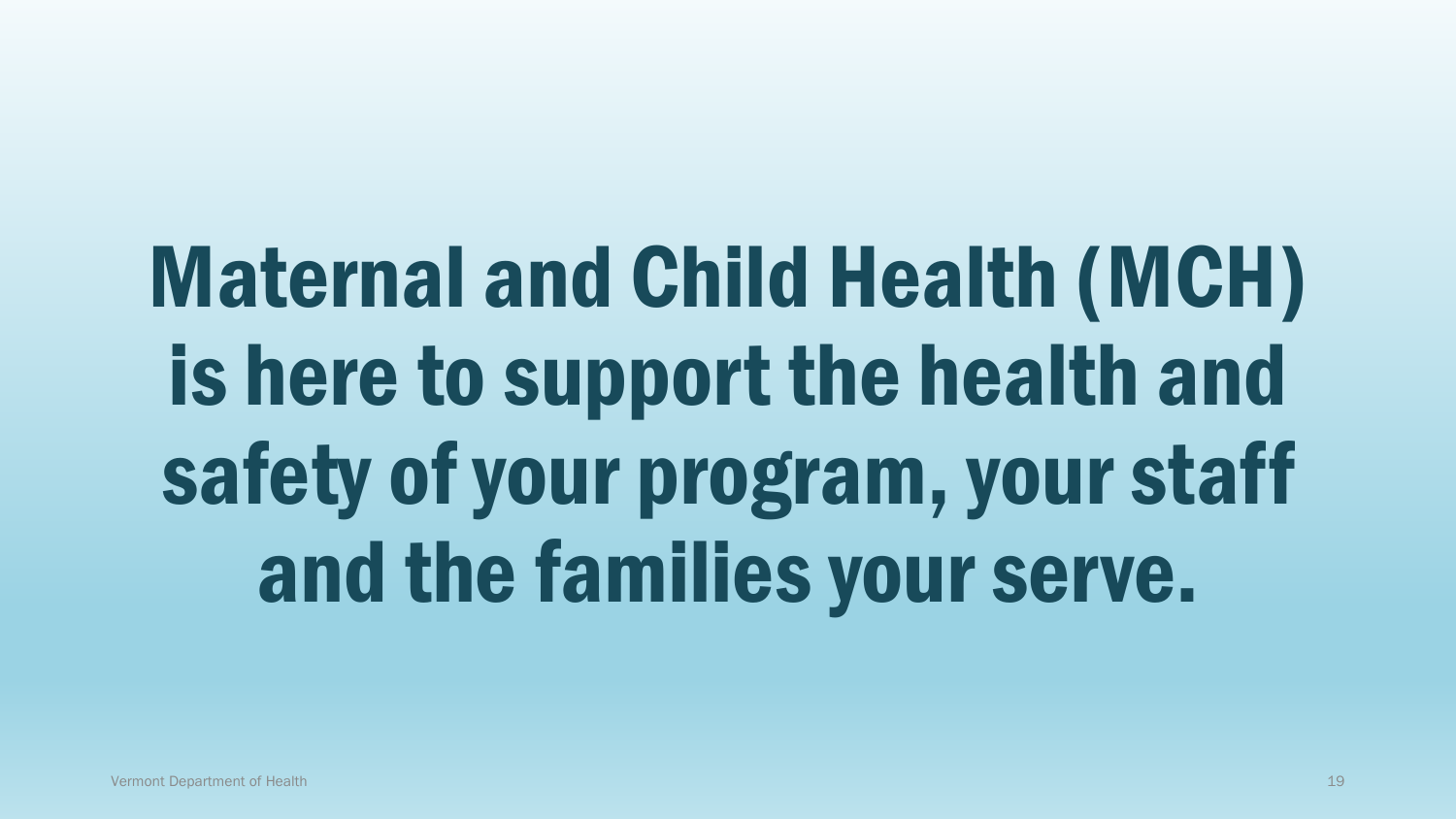# Maternal and Child Health (MCH) is here to support the health and safety of your program, your staff and the families your serve.